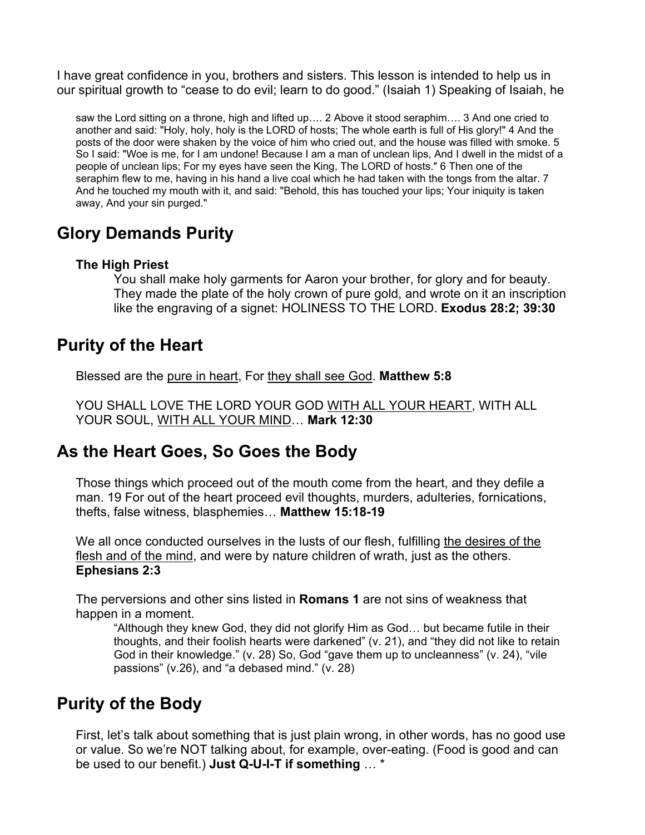I have great confidence in you, brothers and sisters. This lesson is intended to help us in our spiritual growth to "cease to do evil; learn to do good." (Isaiah 1) Speaking of Isaiah, he

saw the Lord sitting on a throne, high and lifted up…. 2 Above it stood seraphim…. 3 And one cried to another and said: "Holy, holy, holy is the LORD of hosts; The whole earth is full of His glory!" 4 And the posts of the door were shaken by the voice of him who cried out, and the house was filled with smoke. 5 So I said: "Woe is me, for I am undone! Because I am a man of unclean lips, And I dwell in the midst of a people of unclean lips; For my eyes have seen the King, The LORD of hosts." 6 Then one of the seraphim flew to me, having in his hand a live coal which he had taken with the tongs from the altar. 7 And he touched my mouth with it, and said: "Behold, this has touched your lips; Your iniquity is taken away, And your sin purged."

### **Glory Demands Purity**

#### **The High Priest**

You shall make holy garments for Aaron your brother, for glory and for beauty. They made the plate of the holy crown of pure gold, and wrote on it an inscription like the engraving of a signet: HOLINESS TO THE LORD. **Exodus 28:2; 39:30** 

### **Purity of the Heart**

Blessed are the pure in heart, For they shall see God. **Matthew 5:8**

YOU SHALL LOVE THE LORD YOUR GOD WITH ALL YOUR HEART, WITH ALL YOUR SOUL, WITH ALL YOUR MIND… **Mark 12:30** 

#### **As the Heart Goes, So Goes the Body**

Those things which proceed out of the mouth come from the heart, and they defile a man. 19 For out of the heart proceed evil thoughts, murders, adulteries, fornications, thefts, false witness, blasphemies… **Matthew 15:18-19** 

We all once conducted ourselves in the lusts of our flesh, fulfilling the desires of the flesh and of the mind, and were by nature children of wrath, just as the others. **Ephesians 2:3**

The perversions and other sins listed in **Romans 1** are not sins of weakness that happen in a moment.

"Although they knew God, they did not glorify Him as God… but became futile in their thoughts, and their foolish hearts were darkened" (v. 21), and "they did not like to retain God in their knowledge." (v. 28) So, God "gave them up to uncleanness" (v. 24), "vile passions" (v.26), and "a debased mind." (v. 28)

## **Purity of the Body**

First, let's talk about something that is just plain wrong, in other words, has no good use or value. So we're NOT talking about, for example, over-eating. (Food is good and can be used to our benefit.) **Just Q-U-I-T if something** … \*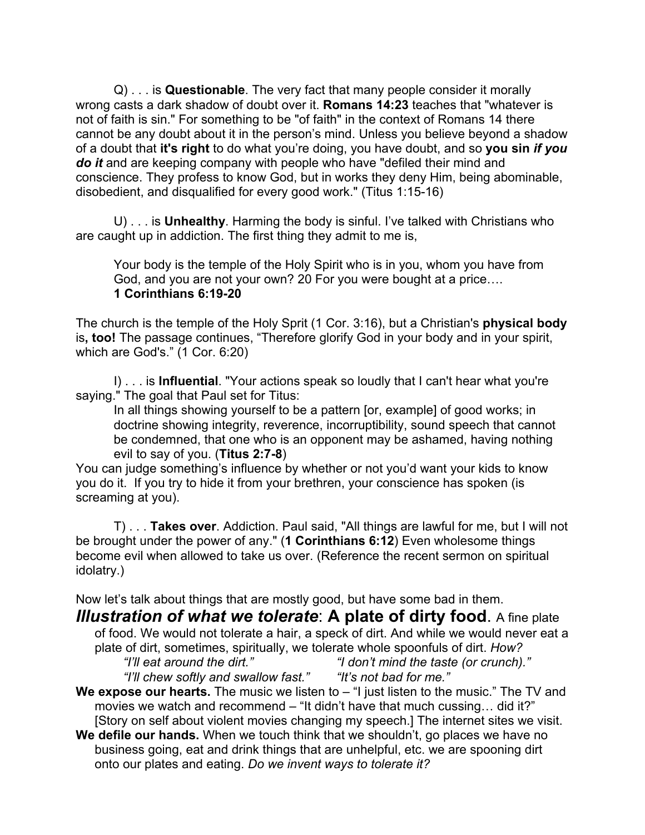Q) . . . is **Questionable**. The very fact that many people consider it morally wrong casts a dark shadow of doubt over it. **Romans 14:23** teaches that "whatever is not of faith is sin." For something to be "of faith" in the context of Romans 14 there cannot be any doubt about it in the person's mind. Unless you believe beyond a shadow of a doubt that **it's right** to do what you're doing, you have doubt, and so **you sin** *if you do it* and are keeping company with people who have "defiled their mind and conscience. They profess to know God, but in works they deny Him, being abominable, disobedient, and disqualified for every good work." (Titus 1:15-16)

 U) . . . is **Unhealthy**. Harming the body is sinful. I've talked with Christians who are caught up in addiction. The first thing they admit to me is,

Your body is the temple of the Holy Spirit who is in you, whom you have from God, and you are not your own? 20 For you were bought at a price…. **1 Corinthians 6:19-20**

The church is the temple of the Holy Sprit (1 Cor. 3:16), but a Christian's **physical body** is**, too!** The passage continues, "Therefore glorify God in your body and in your spirit, which are God's." (1 Cor. 6:20)

 I) . . . is **Influential**. "Your actions speak so loudly that I can't hear what you're saying." The goal that Paul set for Titus:

In all things showing yourself to be a pattern [or, example] of good works; in doctrine showing integrity, reverence, incorruptibility, sound speech that cannot be condemned, that one who is an opponent may be ashamed, having nothing evil to say of you. (**Titus 2:7-8**)

You can judge something's influence by whether or not you'd want your kids to know you do it. If you try to hide it from your brethren, your conscience has spoken (is screaming at you).

 T) . . . **Takes over**. Addiction. Paul said, "All things are lawful for me, but I will not be brought under the power of any." (**1 Corinthians 6:12**) Even wholesome things become evil when allowed to take us over. (Reference the recent sermon on spiritual idolatry.)

Now let's talk about things that are mostly good, but have some bad in them. *Illustration of what we tolerate*: **A plate of dirty food**. A fine plate

of food. We would not tolerate a hair, a speck of dirt. And while we would never eat a plate of dirt, sometimes, spiritually, we tolerate whole spoonfuls of dirt. *How? "I'll eat around the dirt." "I don't mind the taste (or crunch)."* 

*"I'll chew softly and swallow fast."* 

*"It's not bad for me."* 

We expose our hearts. The music we listen to – "I just listen to the music." The TV and movies we watch and recommend – "It didn't have that much cussing… did it?" [Story on self about violent movies changing my speech.] The internet sites we visit.

**We defile our hands.** When we touch think that we shouldn't, go places we have no business going, eat and drink things that are unhelpful, etc. we are spooning dirt onto our plates and eating. *Do we invent ways to tolerate it?*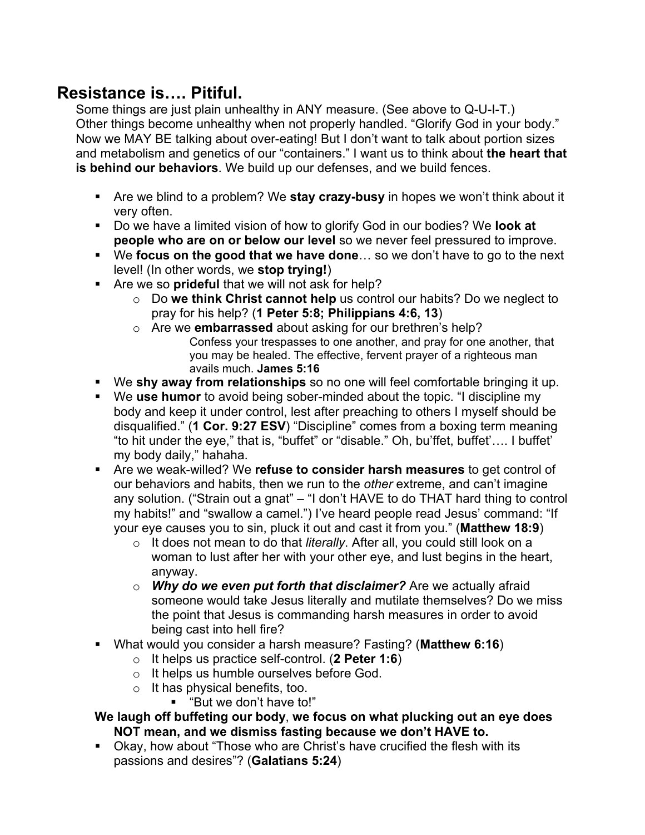## **Resistance is…. Pitiful.**

Some things are just plain unhealthy in ANY measure. (See above to Q-U-I-T.) Other things become unhealthy when not properly handled. "Glorify God in your body." Now we MAY BE talking about over-eating! But I don't want to talk about portion sizes and metabolism and genetics of our "containers." I want us to think about **the heart that is behind our behaviors**. We build up our defenses, and we build fences.

- Are we blind to a problem? We **stay crazy-busy** in hopes we won't think about it very often.
- Do we have a limited vision of how to glorify God in our bodies? We **look at people who are on or below our level** so we never feel pressured to improve.
- We **focus on the good that we have done**… so we don't have to go to the next level! (In other words, we **stop trying!**)
- Are we so **prideful** that we will not ask for help?
	- o Do **we think Christ cannot help** us control our habits? Do we neglect to pray for his help? (**1 Peter 5:8; Philippians 4:6, 13**)
	- o Are we **embarrassed** about asking for our brethren's help? Confess your trespasses to one another, and pray for one another, that you may be healed. The effective, fervent prayer of a righteous man avails much. **James 5:16**
- We **shy away from relationships** so no one will feel comfortable bringing it up.
- We **use humor** to avoid being sober-minded about the topic. "I discipline my body and keep it under control, lest after preaching to others I myself should be disqualified." (**1 Cor. 9:27 ESV**) "Discipline" comes from a boxing term meaning "to hit under the eye," that is, "buffet" or "disable." Oh, bu'ffet, buffet'…. I buffet' my body daily," hahaha.
- Are we weak-willed? We **refuse to consider harsh measures** to get control of our behaviors and habits, then we run to the *other* extreme, and can't imagine any solution. ("Strain out a gnat" – "I don't HAVE to do THAT hard thing to control my habits!" and "swallow a camel.") I've heard people read Jesus' command: "If your eye causes you to sin, pluck it out and cast it from you." (**Matthew 18:9**)
	- o It does not mean to do that *literally*. After all, you could still look on a woman to lust after her with your other eye, and lust begins in the heart, anyway.
	- o *Why do we even put forth that disclaimer?* Are we actually afraid someone would take Jesus literally and mutilate themselves? Do we miss the point that Jesus is commanding harsh measures in order to avoid being cast into hell fire?
- What would you consider a harsh measure? Fasting? (**Matthew 6:16**)
	- o It helps us practice self-control. (**2 Peter 1:6**)
	- o It helps us humble ourselves before God.
	- o It has physical benefits, too.
		- "But we don't have to!"

#### **We laugh off buffeting our body**, **we focus on what plucking out an eye does NOT mean, and we dismiss fasting because we don't HAVE to.**

 Okay, how about "Those who are Christ's have crucified the flesh with its passions and desires"? (**Galatians 5:24**)